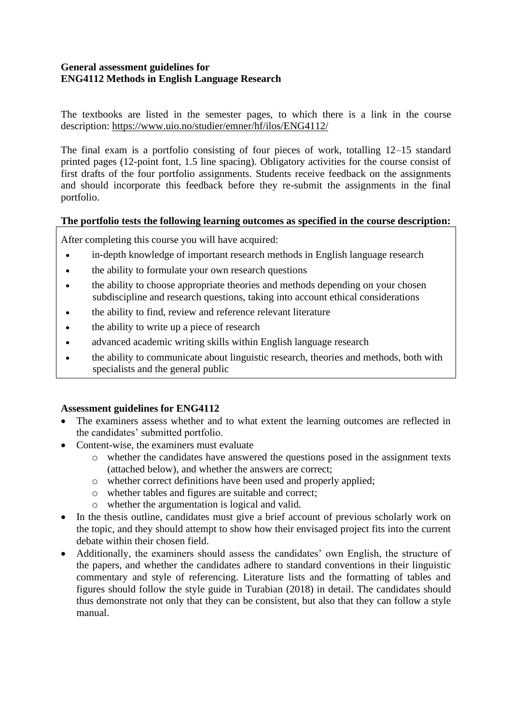# **General assessment guidelines for ENG4112 Methods in English Language Research**

The textbooks are listed in the semester pages, to which there is a link in the course description: <https://www.uio.no/studier/emner/hf/ilos/ENG4112/>

The final exam is a portfolio consisting of four pieces of work, totalling 12–15 standard printed pages (12-point font, 1.5 line spacing). Obligatory activities for the course consist of first drafts of the four portfolio assignments. Students receive feedback on the assignments and should incorporate this feedback before they re-submit the assignments in the final portfolio.

# **The portfolio tests the following learning outcomes as specified in the course description:**

After completing this course you will have acquired:

- in-depth knowledge of important research methods in English language research
- the ability to formulate your own research questions
- the ability to choose appropriate theories and methods depending on your chosen subdiscipline and research questions, taking into account ethical considerations
- the ability to find, review and reference relevant literature
- the ability to write up a piece of research
- advanced academic writing skills within English language research
- the ability to communicate about linguistic research, theories and methods, both with specialists and the general public

### **Assessment guidelines for ENG4112**

- The examiners assess whether and to what extent the learning outcomes are reflected in the candidates' submitted portfolio.
- Content-wise, the examiners must evaluate
	- o whether the candidates have answered the questions posed in the assignment texts (attached below), and whether the answers are correct;
	- o whether correct definitions have been used and properly applied;
	- o whether tables and figures are suitable and correct;
	- o whether the argumentation is logical and valid.
- In the thesis outline, candidates must give a brief account of previous scholarly work on the topic, and they should attempt to show how their envisaged project fits into the current debate within their chosen field.
- Additionally, the examiners should assess the candidates' own English, the structure of the papers, and whether the candidates adhere to standard conventions in their linguistic commentary and style of referencing. Literature lists and the formatting of tables and figures should follow the style guide in Turabian (2018) in detail. The candidates should thus demonstrate not only that they can be consistent, but also that they can follow a style manual.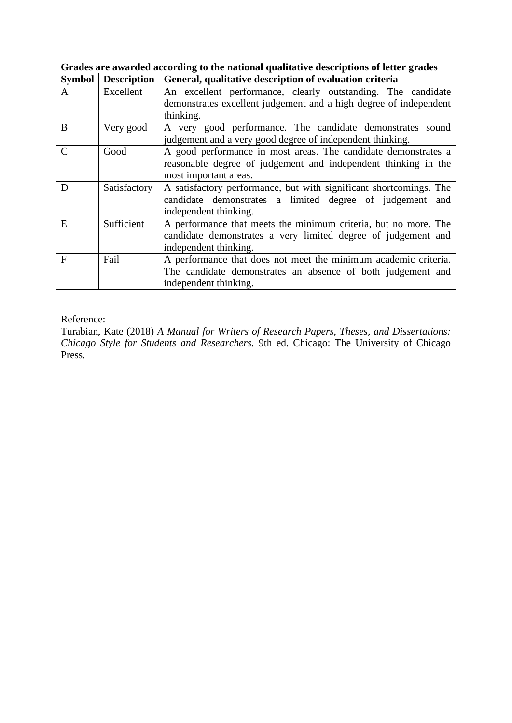| <b>Symbol</b> | <b>Description</b> | General, qualitative description of evaluation criteria            |  |  |  |  |  |  |
|---------------|--------------------|--------------------------------------------------------------------|--|--|--|--|--|--|
| A             | Excellent          | An excellent performance, clearly outstanding. The candidate       |  |  |  |  |  |  |
|               |                    | demonstrates excellent judgement and a high degree of independent  |  |  |  |  |  |  |
|               |                    | thinking.                                                          |  |  |  |  |  |  |
| B             | Very good          | A very good performance. The candidate demonstrates sound          |  |  |  |  |  |  |
|               |                    | judgement and a very good degree of independent thinking.          |  |  |  |  |  |  |
| $\mathcal{C}$ | Good               | A good performance in most areas. The candidate demonstrates a     |  |  |  |  |  |  |
|               |                    | reasonable degree of judgement and independent thinking in the     |  |  |  |  |  |  |
|               |                    | most important areas.                                              |  |  |  |  |  |  |
| D             | Satisfactory       | A satisfactory performance, but with significant shortcomings. The |  |  |  |  |  |  |
|               |                    | candidate demonstrates a limited degree of judgement and           |  |  |  |  |  |  |
|               |                    | independent thinking.                                              |  |  |  |  |  |  |
| E             | Sufficient         | A performance that meets the minimum criteria, but no more. The    |  |  |  |  |  |  |
|               |                    | candidate demonstrates a very limited degree of judgement and      |  |  |  |  |  |  |
|               |                    | independent thinking.                                              |  |  |  |  |  |  |
| $\mathbf{F}$  | Fail               | A performance that does not meet the minimum academic criteria.    |  |  |  |  |  |  |
|               |                    | The candidate demonstrates an absence of both judgement and        |  |  |  |  |  |  |
|               |                    | independent thinking.                                              |  |  |  |  |  |  |

**Grades are awarded according to the national qualitative descriptions of letter grades**

Reference:

Turabian, Kate (2018) *A Manual for Writers of Research Papers, Theses, and Dissertations: Chicago Style for Students and Researchers.* 9th ed. Chicago: The University of Chicago Press.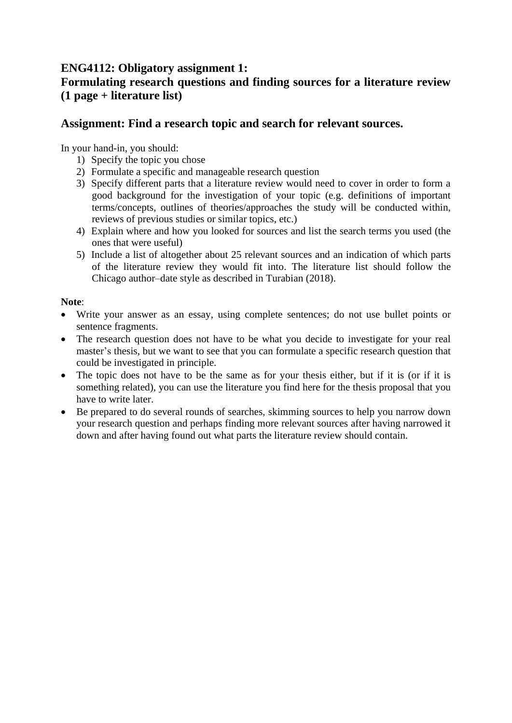# **ENG4112: Obligatory assignment 1: Formulating research questions and finding sources for a literature review (1 page + literature list)**

# **Assignment: Find a research topic and search for relevant sources.**

In your hand-in, you should:

- 1) Specify the topic you chose
- 2) Formulate a specific and manageable research question
- 3) Specify different parts that a literature review would need to cover in order to form a good background for the investigation of your topic (e.g. definitions of important terms/concepts, outlines of theories/approaches the study will be conducted within, reviews of previous studies or similar topics, etc.)
- 4) Explain where and how you looked for sources and list the search terms you used (the ones that were useful)
- 5) Include a list of altogether about 25 relevant sources and an indication of which parts of the literature review they would fit into. The literature list should follow the Chicago author–date style as described in Turabian (2018).

# **Note**:

- Write your answer as an essay, using complete sentences; do not use bullet points or sentence fragments.
- The research question does not have to be what you decide to investigate for your real master's thesis, but we want to see that you can formulate a specific research question that could be investigated in principle.
- The topic does not have to be the same as for your thesis either, but if it is (or if it is something related), you can use the literature you find here for the thesis proposal that you have to write later.
- Be prepared to do several rounds of searches, skimming sources to help you narrow down your research question and perhaps finding more relevant sources after having narrowed it down and after having found out what parts the literature review should contain.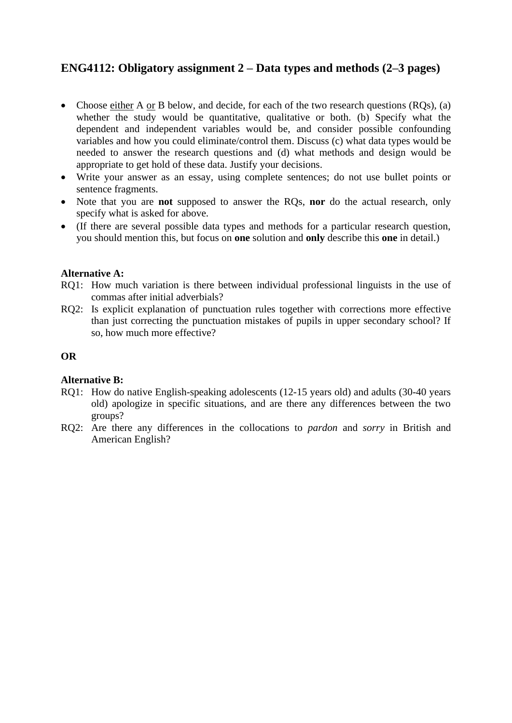# **ENG4112: Obligatory assignment 2 – Data types and methods (2–3 pages)**

- Choose either A or B below, and decide, for each of the two research questions (ROs), (a) whether the study would be quantitative, qualitative or both. (b) Specify what the dependent and independent variables would be, and consider possible confounding variables and how you could eliminate/control them. Discuss (c) what data types would be needed to answer the research questions and (d) what methods and design would be appropriate to get hold of these data. Justify your decisions.
- Write your answer as an essay, using complete sentences; do not use bullet points or sentence fragments.
- Note that you are **not** supposed to answer the RQs, **nor** do the actual research, only specify what is asked for above.
- (If there are several possible data types and methods for a particular research question, you should mention this, but focus on **one** solution and **only** describe this **one** in detail.)

# **Alternative A:**

- RQ1: How much variation is there between individual professional linguists in the use of commas after initial adverbials?
- RQ2: Is explicit explanation of punctuation rules together with corrections more effective than just correcting the punctuation mistakes of pupils in upper secondary school? If so, how much more effective?

### **OR**

### **Alternative B:**

- RQ1: How do native English-speaking adolescents (12-15 years old) and adults (30-40 years old) apologize in specific situations, and are there any differences between the two groups?
- RQ2: Are there any differences in the collocations to *pardon* and *sorry* in British and American English?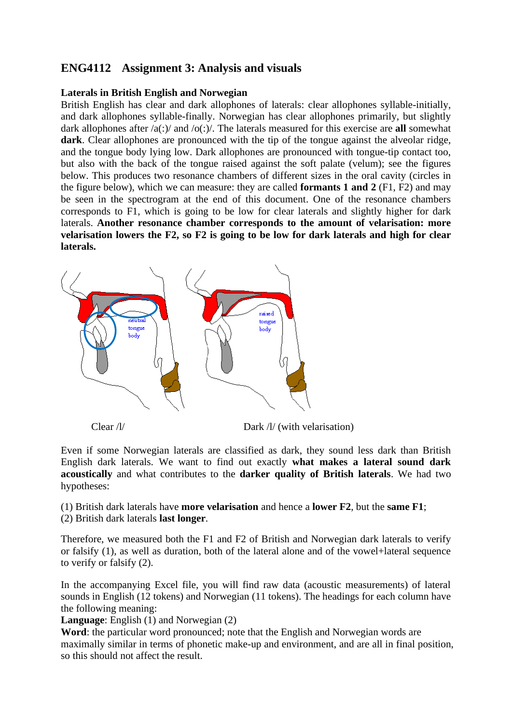# **ENG4112 Assignment 3: Analysis and visuals**

# **Laterals in British English and Norwegian**

British English has clear and dark allophones of laterals: clear allophones syllable-initially, and dark allophones syllable-finally. Norwegian has clear allophones primarily, but slightly dark allophones after /a(:)/ and /o(:)/. The laterals measured for this exercise are **all** somewhat **dark**. Clear allophones are pronounced with the tip of the tongue against the alveolar ridge, and the tongue body lying low. Dark allophones are pronounced with tongue-tip contact too, but also with the back of the tongue raised against the soft palate (velum); see the figures below. This produces two resonance chambers of different sizes in the oral cavity (circles in the figure below), which we can measure: they are called **formants 1 and 2** (F1, F2) and may be seen in the spectrogram at the end of this document. One of the resonance chambers corresponds to F1, which is going to be low for clear laterals and slightly higher for dark laterals. **Another resonance chamber corresponds to the amount of velarisation: more velarisation lowers the F2, so F2 is going to be low for dark laterals and high for clear laterals.**



Clear /l/ Dark /l/ (with velarisation)

Even if some Norwegian laterals are classified as dark, they sound less dark than British English dark laterals. We want to find out exactly **what makes a lateral sound dark acoustically** and what contributes to the **darker quality of British laterals**. We had two hypotheses:

(1) British dark laterals have **more velarisation** and hence a **lower F2**, but the **same F1**; (2) British dark laterals **last longer**.

Therefore, we measured both the F1 and F2 of British and Norwegian dark laterals to verify or falsify (1), as well as duration, both of the lateral alone and of the vowel+lateral sequence to verify or falsify (2).

In the accompanying Excel file, you will find raw data (acoustic measurements) of lateral sounds in English (12 tokens) and Norwegian (11 tokens). The headings for each column have the following meaning:

**Language**: English (1) and Norwegian (2)

**Word**: the particular word pronounced; note that the English and Norwegian words are maximally similar in terms of phonetic make-up and environment, and are all in final position, so this should not affect the result.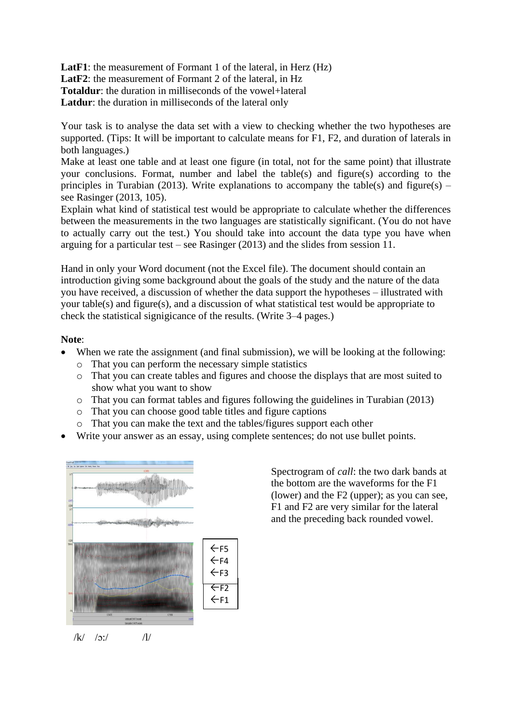LatF1: the measurement of Formant 1 of the lateral, in Herz (Hz) **LatF2**: the measurement of Formant 2 of the lateral, in Hz **Totaldur**: the duration in milliseconds of the vowel+lateral **Latdur**: the duration in milliseconds of the lateral only

Your task is to analyse the data set with a view to checking whether the two hypotheses are supported. (Tips: It will be important to calculate means for F1, F2, and duration of laterals in both languages.)

Make at least one table and at least one figure (in total, not for the same point) that illustrate your conclusions. Format, number and label the table(s) and figure(s) according to the principles in Turabian (2013). Write explanations to accompany the table(s) and figure(s) – see Rasinger (2013, 105).

Explain what kind of statistical test would be appropriate to calculate whether the differences between the measurements in the two languages are statistically significant. (You do not have to actually carry out the test.) You should take into account the data type you have when arguing for a particular test – see Rasinger (2013) and the slides from session 11.

Hand in only your Word document (not the Excel file). The document should contain an introduction giving some background about the goals of the study and the nature of the data you have received, a discussion of whether the data support the hypotheses – illustrated with your table(s) and figure(s), and a discussion of what statistical test would be appropriate to check the statistical signigicance of the results. (Write 3–4 pages.)

# **Note**:

- When we rate the assignment (and final submission), we will be looking at the following:
	- o That you can perform the necessary simple statistics
	- o That you can create tables and figures and choose the displays that are most suited to show what you want to show
	- o That you can format tables and figures following the guidelines in Turabian (2013)
	- o That you can choose good table titles and figure captions
	- o That you can make the text and the tables/figures support each other
- Write your answer as an essay, using complete sentences; do not use bullet points.



 $/k/$  /3:/ ///

Spectrogram of *call*: the two dark bands at the bottom are the waveforms for the F1 (lower) and the F2 (upper); as you can see, F1 and F2 are very similar for the lateral and the preceding back rounded vowel.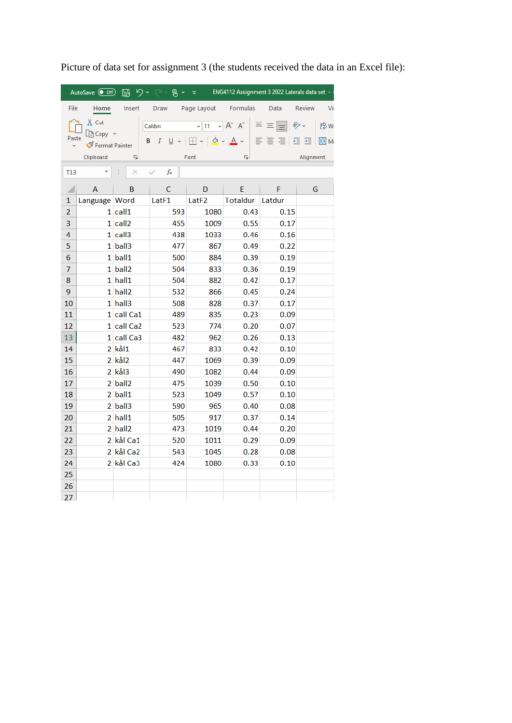| $\nabla$ $\sim$ $\sim$ $\sim$ $\mu$ $\sim$ $\sim$<br>ENG4112 Assignment 3 2022 Laterals data set -<br>AutoSave $\left($ Off)<br>屬                                                                                                                                     |                          |              |            |                      |                 |        |              |  |  |  |
|-----------------------------------------------------------------------------------------------------------------------------------------------------------------------------------------------------------------------------------------------------------------------|--------------------------|--------------|------------|----------------------|-----------------|--------|--------------|--|--|--|
| File                                                                                                                                                                                                                                                                  | Home                     | Insert       | Draw       | Page Layout Formulas |                 | Data   | Review<br>Vi |  |  |  |
| $X$ Cut<br>$\sim$ 11 $\sim$ A <sup>o</sup> A <sup>o</sup><br>$\equiv \equiv$<br>$\frac{1}{2}$<br>Calibri<br>$\equiv$<br>ि Copy   ×<br>Paste<br>B<br>$\boldsymbol{I}$<br>$\mathbb{H} \cdot   \mathcal{D} \cdot \mathbf{A} \cdot$<br>言言目<br>U v<br>€Ξ<br>Format Painter |                          |              |            |                      |                 |        |              |  |  |  |
| Γý<br>Clipboard<br>Font<br>同                                                                                                                                                                                                                                          |                          |              |            |                      |                 |        | Alignment    |  |  |  |
| <b>T13</b>                                                                                                                                                                                                                                                            | $\overline{\phantom{a}}$ | $\times$     | fx         |                      |                 |        |              |  |  |  |
| $\overline{\mathcal{A}}$                                                                                                                                                                                                                                              | A                        | B            | C          | D                    | E.              | F.     | G            |  |  |  |
| 1                                                                                                                                                                                                                                                                     | Language Word            |              | LatF1      | LatF2                | <b>Totaldur</b> | Latdur |              |  |  |  |
| $\overline{2}$                                                                                                                                                                                                                                                        |                          | $1$ call $1$ | 593        | 1080                 | 0.43            | 0.15   |              |  |  |  |
| 3                                                                                                                                                                                                                                                                     |                          | 1 call2      | 455        | 1009                 | 0.55            | 0.17   |              |  |  |  |
| 4                                                                                                                                                                                                                                                                     |                          | 1 call3      | 438        | 1033                 | 0.46            | 0.16   |              |  |  |  |
| 5                                                                                                                                                                                                                                                                     |                          | 1 ball3      | 477        | 867                  | 0.49            | 0.22   |              |  |  |  |
| 6                                                                                                                                                                                                                                                                     |                          | 1 ball1      | 500        | 884                  | 0.39            | 0.19   |              |  |  |  |
| 7                                                                                                                                                                                                                                                                     |                          | 1 ball2      | 504        | 833                  | 0.36            | 0.19   |              |  |  |  |
| 8                                                                                                                                                                                                                                                                     |                          | $1$ hall $1$ | 504        | 882                  | 0.42            | 0.17   |              |  |  |  |
| 9                                                                                                                                                                                                                                                                     |                          | 1 hall2      | 532        | 866                  | 0.45            | 0.24   |              |  |  |  |
| 10                                                                                                                                                                                                                                                                    |                          | 1 hall3      | 508        | 828                  | 0.37            | 0.17   |              |  |  |  |
| 11                                                                                                                                                                                                                                                                    |                          | 1 call Ca1   | 489        | 835                  | 0.23            | 0.09   |              |  |  |  |
| 12                                                                                                                                                                                                                                                                    |                          | 1 call Ca2   | 523        | 774                  | 0.20            | 0.07   |              |  |  |  |
| 13                                                                                                                                                                                                                                                                    |                          | 1 call Ca3   | 482        | 962                  | 0.26            | 0.13   |              |  |  |  |
| 14                                                                                                                                                                                                                                                                    |                          | 2 kål1       | 467        | 833                  | 0.42            | 0.10   |              |  |  |  |
| 15                                                                                                                                                                                                                                                                    |                          | 2 kål2       | 447        | 1069                 | 0.39            | 0.09   |              |  |  |  |
| 16                                                                                                                                                                                                                                                                    |                          | $2$ kål $3$  | 490        | 1082                 | 0.44            | 0.09   |              |  |  |  |
| 17                                                                                                                                                                                                                                                                    |                          | 2 ball2      | 475        | 1039                 | 0.50            | 0.10   |              |  |  |  |
| 18                                                                                                                                                                                                                                                                    |                          | 2 ball1      | 523        | 1049                 | 0.57            | 0.10   |              |  |  |  |
| 19                                                                                                                                                                                                                                                                    |                          | 2 ball3      | 590        | 965                  | 0.40            | 0.08   |              |  |  |  |
| 20                                                                                                                                                                                                                                                                    |                          | $2$ hall $1$ | 505        | 917                  | 0.37            | 0.14   |              |  |  |  |
| 21                                                                                                                                                                                                                                                                    |                          | $2$ hall $2$ | 473        | 1019                 | 0.44            | 0.20   |              |  |  |  |
| 22                                                                                                                                                                                                                                                                    |                          | 2 kål Ca1    | 520        | 1011                 | 0.29            | 0.09   |              |  |  |  |
| 23                                                                                                                                                                                                                                                                    |                          | 2 kål Ca2    | 543<br>424 | 1045                 | 0.28            | 0.08   |              |  |  |  |
| 24                                                                                                                                                                                                                                                                    |                          | 2 kål Ca3    |            | 1080                 | 0.33            | 0.10   |              |  |  |  |
| 25                                                                                                                                                                                                                                                                    |                          |              |            |                      |                 |        |              |  |  |  |
| 26                                                                                                                                                                                                                                                                    |                          |              |            |                      |                 |        |              |  |  |  |
| 27                                                                                                                                                                                                                                                                    |                          |              |            |                      |                 |        |              |  |  |  |

Picture of data set for assignment 3 (the students received the data in an Excel file):